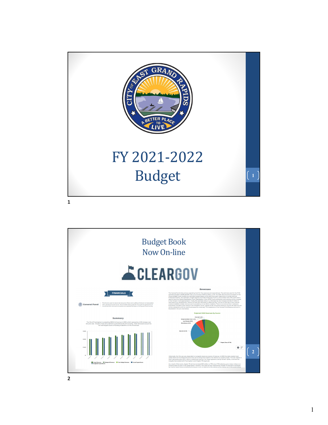

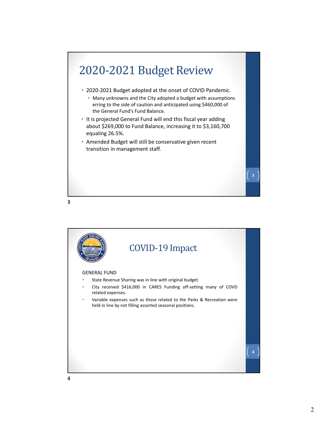

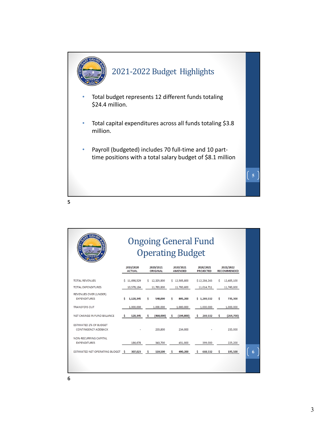

| GRAND<br><b>CITY OF MST</b><br><b>ETTER P</b>        | <b>Ongoing General Fund</b><br><b>Operating Budget</b> |                              |                             |                               |                                 |  |  |
|------------------------------------------------------|--------------------------------------------------------|------------------------------|-----------------------------|-------------------------------|---------------------------------|--|--|
|                                                      | 2019/2020<br><b>ACTUAL</b>                             | 2020/2021<br><b>ORIGINAL</b> | 2020/2021<br><b>AMENDED</b> | 2020/2021<br><b>PROJECTED</b> | 2021/2022<br><b>RECOMMENDED</b> |  |  |
| <b>TOTAL REVENUES</b>                                | \$11,698,529                                           | 12,329,800<br>S.             | \$12,505,800                | \$12,284,243                  | 12,485,100<br>s                 |  |  |
| <b>TOTAL EXPENDITURES</b>                            | 10,578,184                                             | 11,789,800                   | 11,700,600                  | 11,014,711                    | 11,749,800                      |  |  |
| REVENUES OVER (UNDER)<br><b>EXPENDITURES</b>         | Ś<br>1,120,345                                         | Ś<br>540,000                 | Ś<br>805,200                | \$1,269,532                   | Ś<br>735,300                    |  |  |
| <b>TRANSFERS OUT</b>                                 | 1,000,000                                              | 1,000,000                    | 1,000,000                   | 1,000,000                     | 1,000,000                       |  |  |
| NET CHANGE IN FUND BALANCE                           | 120,345<br>S                                           | (460,000)<br>S               | (194, 800)<br>Ś             | 269,532<br>\$                 | Ś<br>(264, 700)                 |  |  |
| <b>ESTIMATED 2% OF BUDGET</b><br>CONTINGENCY ADDBACK |                                                        | 235,800                      | 234,000                     |                               | 235,000                         |  |  |
| NON-RECURRING CAPITAL<br><b>EXPENDITURES</b>         | 186,678                                                | 343,700                      | 451,000                     | 399,000                       | 225,200                         |  |  |
| ESTIMATED NET OPERATING BUDGET                       | - Ś<br>307,023                                         | S<br>119,500                 | Ś<br>490,200                | Ś<br>668,532                  | 195,500<br>S                    |  |  |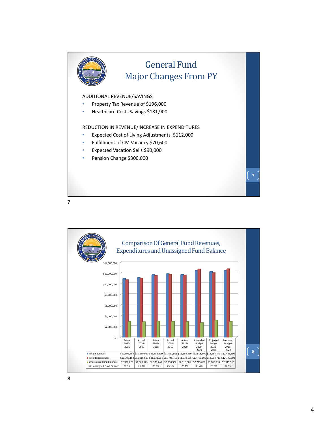

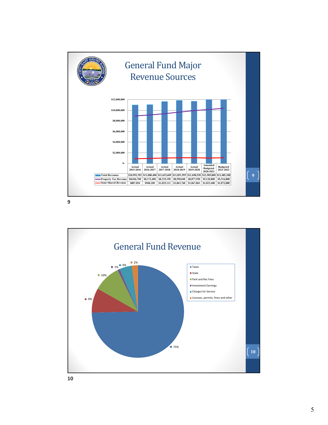

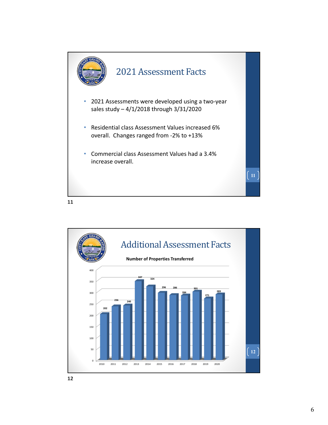

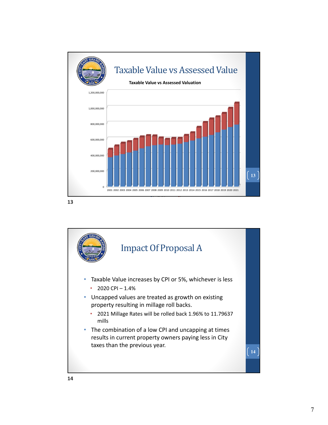

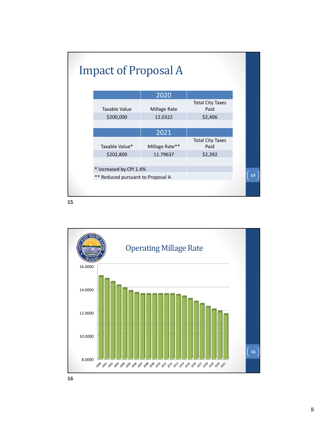| <b>Impact of Proposal A</b>       |                |                                 |    |
|-----------------------------------|----------------|---------------------------------|----|
|                                   | 2020           |                                 |    |
| Taxable Value                     | Millage Rate   | <b>Total City Taxes</b><br>Paid |    |
| \$200,000                         | 12.0322        | \$2,406                         |    |
|                                   |                |                                 |    |
|                                   | 2021           |                                 |    |
| Taxable Value*                    | Millage Rate** | <b>Total City Taxes</b><br>Paid |    |
| \$202,800                         | 11.79637       | \$2,392                         |    |
|                                   |                |                                 |    |
| * increased by CPI 1.4%           |                |                                 |    |
| ** Reduced pursuant to Proposal A |                |                                 | 15 |
|                                   |                |                                 |    |
|                                   |                |                                 |    |

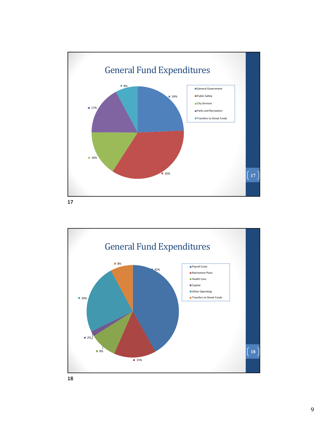

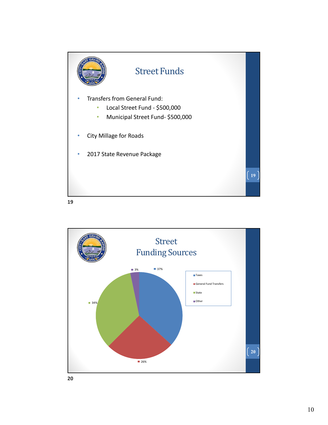

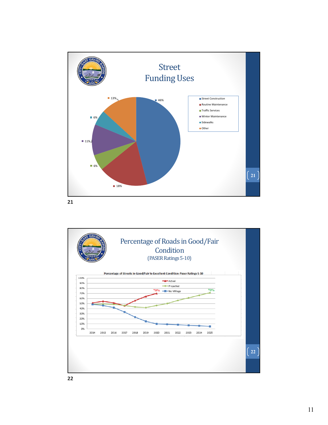

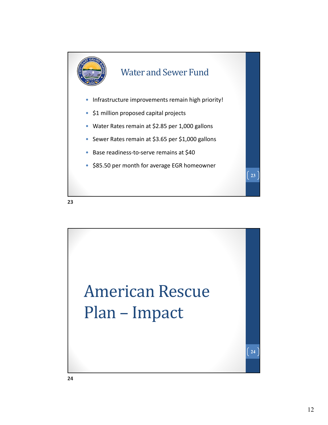



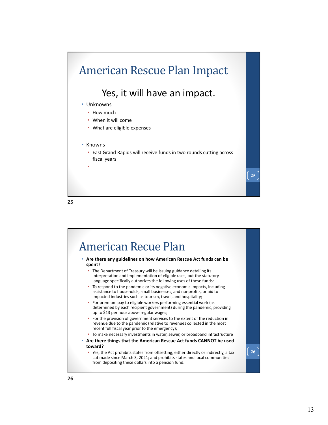

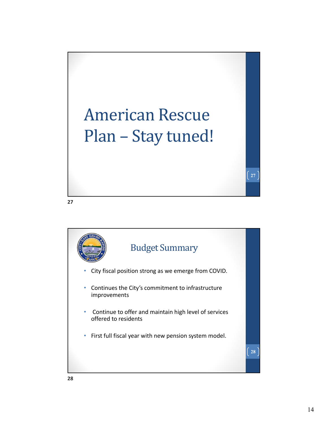## American Rescue Plan – Stay tuned!

**27**